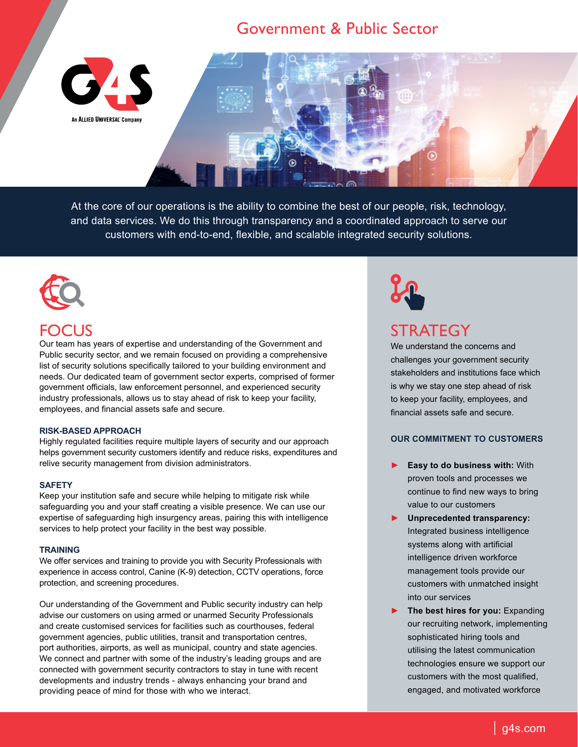### Government & Public Sector



At the core of our operations is the ability to combine the best of our people, risk, technology, and data services. We do this through transparency and a coordinated approach to serve our customers with end-to-end, flexible, and scalable integrated security solutions.



# FOCUS

Our team has years of expertise and understanding of the Government and Public security sector, and we remain focused on providing a comprehensive list of security solutions specifically tailored to your building environment and needs. Our dedicated team of government sector experts, comprised of former government officials, law enforcement personnel, and experienced security industry professionals, allows us to stay ahead of risk to keep your facility, employees, and financial assets safe and secure.

#### **RISK-BASED APPROACH**

Highly regulated facilities require multiple layers of security and our approach helps government security customers identify and reduce risks, expenditures and relive security management from division administrators.

#### **SAFETY**

Keep your institution safe and secure while helping to mitigate risk while safeguarding you and your staff creating a visible presence. We can use our expertise of safeguarding high insurgency areas, pairing this with intelligence services to help protect your facility in the best way possible.

#### **TRAINING**

We offer services and training to provide you with Security Professionals with experience in access control, Canine (K-9) detection, CCTV operations, force protection, and screening procedures.

Our understanding of the Government and Public security industry can help advise our customers on using armed or unarmed Security Professionals and create customised services for facilities such as courthouses, federal government agencies, public utilities, transit and transportation centres, port authorities, airports, as well as municipal, country and state agencies. We connect and partner with some of the industry's leading groups and are connected with government security contractors to stay in tune with recent developments and industry trends - always enhancing your brand and providing peace of mind for those with who we interact.



# **STRATEGY**

We understand the concerns and challenges your government security stakeholders and institutions face which is why we stay one step ahead of risk to keep your facility, employees, and financial assets safe and secure.

### **OUR COMMITMENT TO CUSTOMERS**

- ► **Easy to do business with:** With proven tools and processes we continue to find new ways to bring value to our customers
- ► **Unprecedented transparency:** Integrated business intelligence systems along with artificial intelligence driven workforce management tools provide our customers with unmatched insight into our services
- ► **The best hires for you:** Expanding our recruiting network, implementing sophisticated hiring tools and utilising the latest communication technologies ensure we support our customers with the most qualified, engaged, and motivated workforce